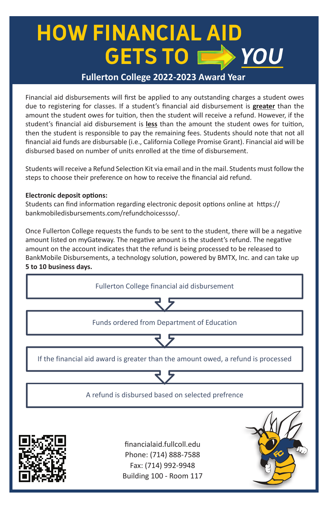# **HOW FINANCIAL AID GETS TO YOU**

### **Fullerton College 2022-2023 Award Year**

Financial aid disbursements will first be applied to any outstanding charges a student owes due to registering for classes. If a student's financial aid disbursement is **greater** than the due to registering for classes. If a student's financial aid disbursement is greater than the<br>amount the student owes for tuition, then the student will receive a refund. However, if the student's financial aid disbursement is less than the amount the student owes for tuition, then the student is responsible to pay the remaining fees. Students should note that not all financial aid funds are disbursable (i.e., California College Promise Grant). Financial aid will be<br>disbursed based on number of units enrolled at the time of disbursement. disbursed based on number of units enrolled at the time of disbursement.

Students will receive a Refund Selection Kit via email and in the mail. Students must follow the statents will be choose their preference on how to receive the financial aid refund.

## **Electronic deposit options:**

Students can find information regarding electronic deposit options online at https:// bankmobiledisbursements.com/refundchoicessso/.

amount on the account indicates that the refund is being processed to be released to Once Fullerton College requests the funds to be sent to the student, there will be a negative amount listed on myGateway. The negative amount is the student's refund. The negative BankMobile Disbursements, a technology solution, powered by BMTX, Inc. and can take up **5 to 10 business days.**  be released to BankMobile Disbursements and can take up **5 to 10 business days.** 



Building 100 - Room 117